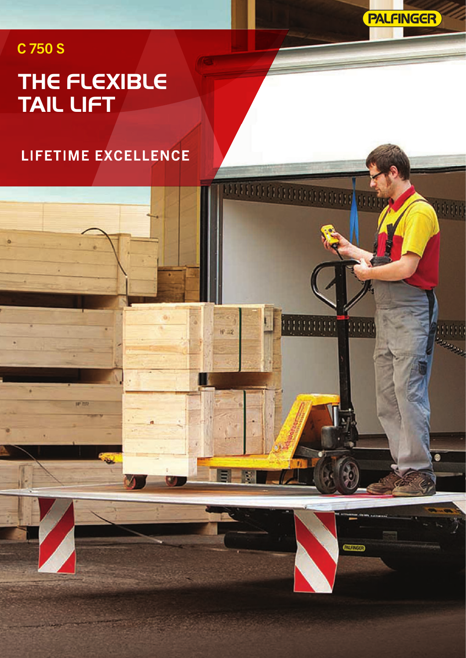**PALFINGER** 

mini

**Hinning Time** 

**GUINGS** 

 $H = 12$ 

## C 750 S

٠

**IP 77** 

# **THE FLEXIBLE TAIL LIFT**

**LIFETIME EXCELLENCE**